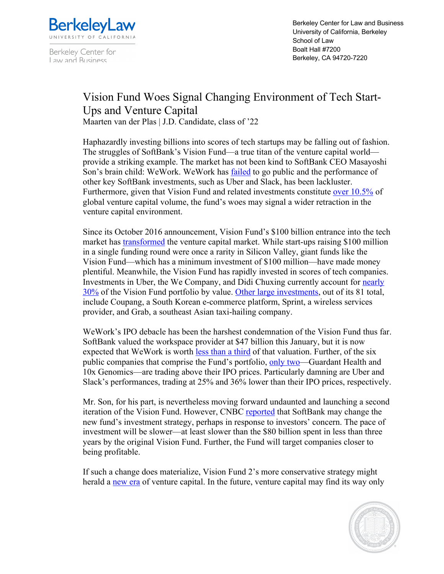

Berkeley Center for Law and Business

Berkeley Center for Law and Business University of California, Berkeley School of Law Boalt Hall #7200 Berkeley, CA 94720-7220

## Vision Fund Woes Signal Changing Environment of Tech Start-Ups and Venture Capital

Maarten van der Plas | J.D. Candidate, class of '22

Haphazardly investing billions into scores of tech startups may be falling out of fashion. The struggles of SoftBank's Vision Fund—a true titan of the venture capital world provide a striking example. The market has not been kind to SoftBank CEO Masayoshi Son's brain child: WeWork. WeWork has **failed** to go public and the performance of other key SoftBank investments, such as Uber and Slack, has been lackluster. Furthermore, given that Vision Fund and related investments constitute over 10.5% of global venture capital volume, the fund's woes may signal a wider retraction in the venture capital environment.

Since its October 2016 announcement, Vision Fund's \$100 billion entrance into the tech market has transformed the venture capital market. While start-ups raising \$100 million in a single funding round were once a rarity in Silicon Valley, giant funds like the Vision Fund—which has a minimum investment of \$100 million—have made money plentiful. Meanwhile, the Vision Fund has rapidly invested in scores of tech companies. Investments in Uber, the We Company, and Didi Chuxing currently account for nearly 30% of the Vision Fund portfolio by value. Other large investments, out of its 81 total, include Coupang, a South Korean e-commerce platform, Sprint, a wireless services provider, and Grab, a southeast Asian taxi-hailing company.

WeWork's IPO debacle has been the harshest condemnation of the Vision Fund thus far. SoftBank valued the workspace provider at \$47 billion this January, but it is now expected that WeWork is worth less than a third of that valuation. Further, of the six public companies that comprise the Fund's portfolio, only two—Guardant Health and 10x Genomics—are trading above their IPO prices. Particularly damning are Uber and Slack's performances, trading at 25% and 36% lower than their IPO prices, respectively.

Mr. Son, for his part, is nevertheless moving forward undaunted and launching a second iteration of the Vision Fund. However, CNBC reported that SoftBank may change the new fund's investment strategy, perhaps in response to investors' concern. The pace of investment will be slower—at least slower than the \$80 billion spent in less than three years by the original Vision Fund. Further, the Fund will target companies closer to being profitable.

If such a change does materialize, Vision Fund 2's more conservative strategy might herald a new era of venture capital. In the future, venture capital may find its way only